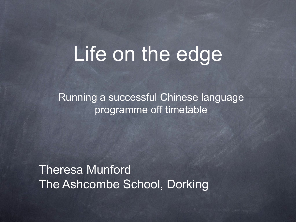## Life on the edge

Running a successful Chinese language programme off timetable

Theresa Munford The Ashcombe School, Dorking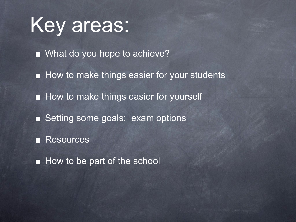Key areas:

What do you hope to achieve?

**How to make things easier for your students** 

**How to make things easier for yourself** 

■ Setting some goals: exam options

**Resources** 

How to be part of the school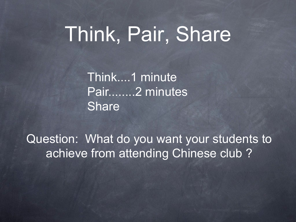# Think, Pair, Share

Think....1 minute Pair........2 minutes Share

Question: What do you want your students to achieve from attending Chinese club ?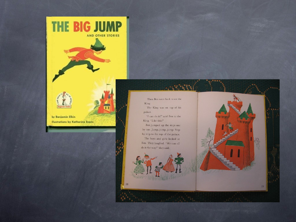



by Benjamin Elkin **Illustrations by Katherine Evans** 



palace. "I can do it!" said Ben to the

King. "Like this!" Ben jumped up the steps one by one. Jump, jump, jump. Step by step to the top of the palace. The boys and girls looked at Ben. They laughed. "We can all

19

do it that way!" they said.

18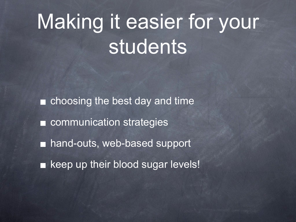# Making it easier for your students

choosing the best day and time n **E** communication strategies hand-outs, web-based support П **Example 12 India** keep up their blood sugar levels!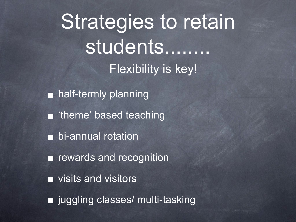Strategies to retain students........ Flexibility is key!

■ half-termly planning **n** 'theme' based teaching **h** bi-annual rotation **F** rewards and recognition visits and visitors ■ juggling classes/ multi-tasking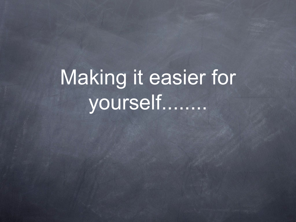# Making it easier for yourself........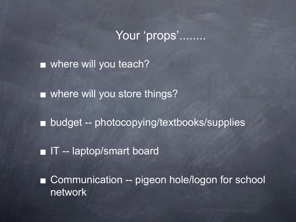### Your 'props'........

■ where will you teach?

**Notainary Willes you store things?** 

■ budget -- photocopying/textbooks/supplies

**IT** -- laptop/smart board

Communication -- pigeon hole/logon for school О network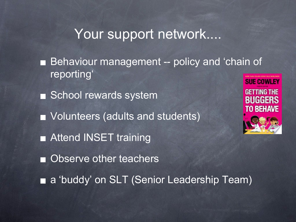## Your support network....

- Behaviour management -- policy and 'chain of □ reporting'
- School rewards system
- Volunteers (adults and students)
- **Example 2 Attend INSET training**
- Observe other teachers



a 'buddy' on SLT (Senior Leadership Team)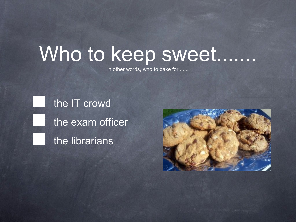## Who to keep sweet........

in other words, who to bake for.......

the IT crowd the exam officer the librarians

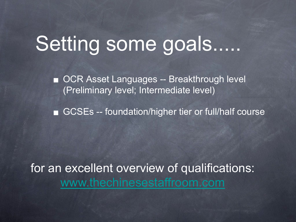## Setting some goals......

■ OCR Asset Languages -- Breakthrough level (Preliminary level; Intermediate level)

■ GCSEs -- foundation/higher tier or full/half course

for an excellent overview of qualifications: [www.thechinesestaffroom.com](http://www.thechinesestaffroom.com)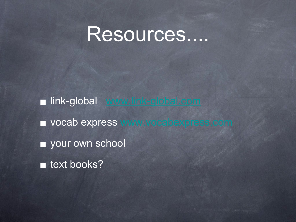## Resources....

link-global [www.link-global.com](http://www.link-global.com) vocab express [www.vocabexpress.com](http://www.vocabexpress.com) vour own school **n** text books?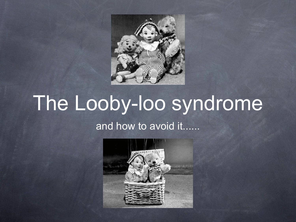

# The Looby-loo syndrome

### and how to avoid it......

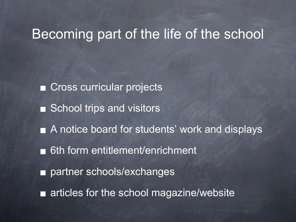### Becoming part of the life of the school

■ Cross curricular projects ■ School trips and visitors ■ A notice board for students' work and displays ■ 6th form entitlement/enrichment partner schools/exchanges П **Example 1** articles for the school magazine/website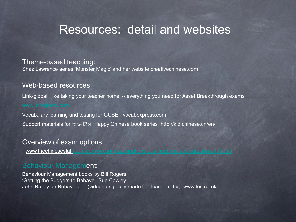### Resources: detail and websites

#### Theme-based teaching:

Shaz Lawrence series 'Monster Magic' and her website creativechinese.com

#### Web-based resources:

Link-global 'like taking your teacher home' -- everything you need for Asset Breakthrough exams

Vocabulary learning and testing for GCSE vocabexpress.com

Support materials for 汉语快乐 Happy Chinese book series http://kid.chinese.cn/en/

#### Overview of exam options:

www.thechinesestaffroom.com/section/examinations-qualifications-accredition-

#### [Behaviour Managem](http://www.thechinesestaffroom.com/section/examinations-qualifications-accreditation-and-tests)ent:

Behaviour Management books by Bill Rogers 'Getting the Buggers to Behave' Sue Cowley John Bailey on Behaviour -- (videos originally made for Teachers TV) www.tes.co.uk